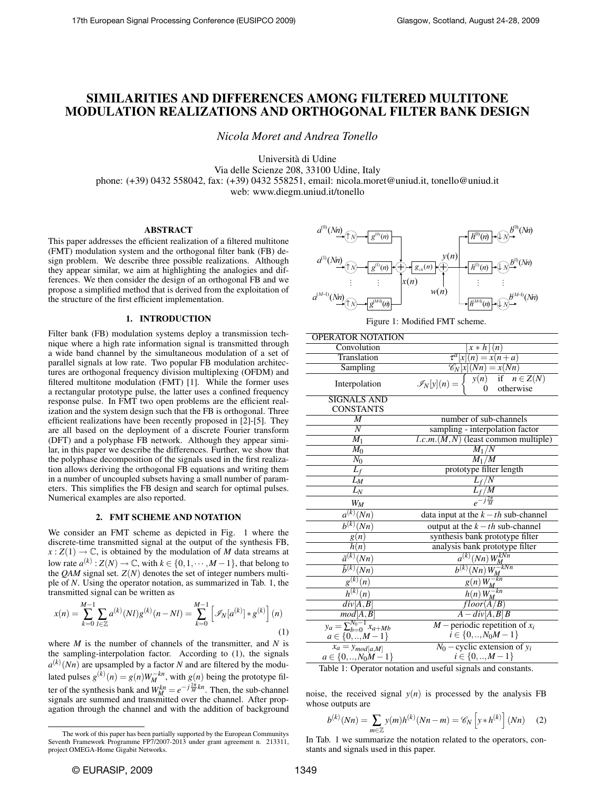# SIMILARITIES AND DIFFERENCES AMONG FILTERED MULTITONE MODULATION REALIZATIONS AND ORTHOGONAL FILTER BANK DESIGN

*Nicola Moret and Andrea Tonello*

Universita di Udine ` Via delle Scienze 208, 33100 Udine, Italy phone: (+39) 0432 558042, fax: (+39) 0432 558251, email: nicola.moret@uniud.it, tonello@uniud.it web: www.diegm.uniud.it/tonello

# ABSTRACT

This paper addresses the efficient realization of a filtered multitone (FMT) modulation system and the orthogonal filter bank (FB) design problem. We describe three possible realizations. Although they appear similar, we aim at highlighting the analogies and differences. We then consider the design of an orthogonal FB and we propose a simplified method that is derived from the exploitation of the structure of the first efficient implementation.

### 1. INTRODUCTION

Filter bank (FB) modulation systems deploy a transmission technique where a high rate information signal is transmitted through a wide band channel by the simultaneous modulation of a set of parallel signals at low rate. Two popular FB modulation architectures are orthogonal frequency division multiplexing (OFDM) and filtered multitone modulation (FMT) [1]. While the former uses a rectangular prototype pulse, the latter uses a confined frequency response pulse. In FMT two open problems are the efficient realization and the system design such that the FB is orthogonal. Three efficient realizations have been recently proposed in [2]-[5]. They are all based on the deployment of a discrete Fourier transform (DFT) and a polyphase FB network. Although they appear similar, in this paper we describe the differences. Further, we show that the polyphase decomposition of the signals used in the first realization allows deriving the orthogonal FB equations and writing them in a number of uncoupled subsets having a small number of parameters. This simplifies the FB design and search for optimal pulses. Numerical examples are also reported.

# 2. FMT SCHEME AND NOTATION

We consider an FMT scheme as depicted in Fig. 1 where the discrete-time transmitted signal at the output of the synthesis FB,  $x: Z(1) \to \mathbb{C}$ , is obtained by the modulation of *M* data streams at low rate  $a^{(k)}$  :  $Z(N) \to \mathbb{C}$ , with  $k \in \{0, 1, \cdots, M-1\}$ , that belong to the *QAM* signal set.  $Z(N)$  denotes the set of integer numbers multiple of *N*. Using the operator notation, as summarized in Tab. 1, the transmitted signal can be written as

$$
x(n) = \sum_{k=0}^{M-1} \sum_{l \in \mathbb{Z}} a^{(k)}(Nl) g^{(k)}(n - Nl) = \sum_{k=0}^{M-1} \left[ \mathcal{I}_N[a^{(k)}] * g^{(k)} \right](n)
$$
\n(1)

where *M* is the number of channels of the transmitter, and *N* is the sampling-interpolation factor. According to (1), the signals  $a^{(k)}(Nn)$  are upsampled by a factor *N* and are filtered by the modulated pulses  $g^{(k)}(n) = g(n)W_M^{-kn}$ , with  $g(n)$  being the prototype filter of the synthesis bank and  $W_M^{kn} = e^{-j\frac{2\pi}{M}kn}$ . Then, the sub-channel signals are summed and transmitted over the channel. After propagation through the channel and with the addition of background



Figure 1: Modified FMT scheme.

| <b>OPERATOR NOTATION</b>                      |                                                                            |  |
|-----------------------------------------------|----------------------------------------------------------------------------|--|
| Convolution                                   | $x * h (n)$                                                                |  |
| Translation                                   | $\tau^a[x](n) = x(n+a)$                                                    |  |
| Sampling                                      | $\mathscr{C}_N[x](Nn) = x(Nn)$                                             |  |
| Interpolation                                 | $y(n)$ if $n \in Z(N)$<br>$\mathscr{I}_N[y](n) =$<br>otherwise<br>$\Omega$ |  |
| <b>SIGNALS AND</b>                            |                                                                            |  |
| <b>CONSTANTS</b>                              |                                                                            |  |
| $\overline{M}$                                | number of sub-channels                                                     |  |
| $\overline{N}$                                | sampling - interpolation factor                                            |  |
| $\overline{M_1}$                              | $l.c.m.(M,N)$ (least common multiple)                                      |  |
| $M_0$                                         | $M_1/N$                                                                    |  |
| $N_0$                                         | $M_1/M$                                                                    |  |
| $L_f$                                         | prototype filter length                                                    |  |
| $\overline{L}_M$                              | $L_f/N$                                                                    |  |
| $L_N$                                         | $L_f/{\overline M}$                                                        |  |
| $W_M$                                         | $e^{-j\frac{2\pi}{M}}$                                                     |  |
| $\overline{a^{(k)}(Nn)}$                      | data input at the $k-th$ sub-channel                                       |  |
| $\overline{b^{(k)}(Nn)}$                      | output at the $k-th$ sub-channel                                           |  |
| g(n)                                          | synthesis bank prototype filter                                            |  |
| h(n)                                          | analysis bank prototype filter                                             |  |
| $\overline{\tilde{a}^{(k)}(Nn)}$              | $a^{(k)}(Nn)$ $W_M^{kNn}$                                                  |  |
| $\overline{\tilde{b}^{(k)}}(Nn)$              | $\overline{b^{(k)}(Nn)W_M^{-kNn}}$                                         |  |
| $g^{(\overline{k})}$<br>(n)                   |                                                                            |  |
| $\overline{h^{(k)}(n)}$                       | $\frac{g(n)W_M^{-kn}}{h(n)W_M^{-kn}}$                                      |  |
| div[A, B]                                     | floor(A/B)                                                                 |  |
| mod A,B                                       | $A-div[A, B]B$                                                             |  |
| $y_a = \sum_{b=0}^{N_0-1} x_{a+Mb}$           | $M$ – periodic repetition of $x_i$                                         |  |
| $a \in \{0, , M-1\}$                          | $i \in \{0, , N_0M-1\}$                                                    |  |
| $x_a = y_{mod[a,M]}$<br>$a \in \{0,,N_0M-1\}$ | $N_0$ – cyclic extension of $y_i$                                          |  |
|                                               | $i \in \{0, , M-1\}$                                                       |  |

Table 1: Operator notation and useful signals and constants.

noise, the received signal  $y(n)$  is processed by the analysis FB whose outputs are

$$
b^{(k)}(Nn) = \sum_{m \in \mathbb{Z}} y(m)h^{(k)}(Nn-m) = \mathcal{C}_N \left[ y * h^{(k)} \right] (Nn) \quad (2)
$$

In Tab. 1 we summarize the notation related to the operators, constants and signals used in this paper.

The work of this paper has been partially supported by the European Communitys Seventh Framework Programme FP7/2007-2013 under grant agreement n. 213311, project OMEGA-Home Gigabit Networks.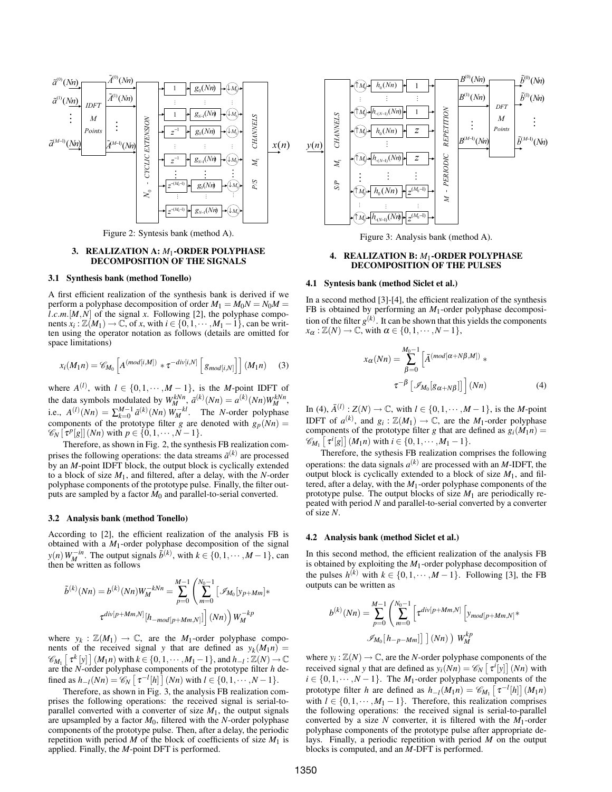

Figure 2: Syntesis bank (method A).

# 3. REALIZATION A: *M*1-ORDER POLYPHASE DECOMPOSITION OF THE SIGNALS

## 3.1 Synthesis bank (method Tonello)

A first efficient realization of the synthesis bank is derived if we perform a polyphase decomposition of order  $M_1 = M_0N = N_0M$ *l.c.m.*[ $M$ , $N$ ] of the signal  $x$ . Following [2], the polyphase components  $x_i : \mathbb{Z}(M_1) \to \mathbb{C}$ , of *x*, with  $i \in \{0, 1, \cdots, M_1 - 1\}$ , can be written using the operator notation as follows (details are omitted for space limitations)

$$
x_i(M_1n) = \mathscr{C}_{M_0}\left[A^{(mod[i,M])} * \tau^{-div[i,N]} \left[g_{mod[i,N]}\right]\right](M_1n) \quad (3)
$$

where  $A^{(l)}$ , with  $l \in \{0, 1, \dots, M-1\}$ , is the *M*-point IDFT of the data symbols modulated by  $W_M^{kNn}$ ,  $\tilde{a}^{(k)}(Nn) = a^{(k)}(Nn)W_M^{kNn}$ , i.e.,  $A^{(l)}(Nn) = \sum_{k=0}^{M-1} \tilde{a}^{(k)}(Nn) W_M^{-kl}$ . The *N*-order polyphase components of the prototype filter *g* are denoted with  $g_p(Nn) =$  $\mathscr{C}_{N}[\tau^{p}[g]](Nn)$  with  $p \in \{0, 1, \cdots, N-1\}.$ 

Therefore, as shown in Fig. 2, the synthesis FB realization comprises the following operations: the data streams  $\tilde{a}^{(k)}$  are processed by an *M*-point IDFT block, the output block is cyclically extended to a block of size *M*1, and filtered, after a delay, with the *N*-order polyphase components of the prototype pulse. Finally, the filter outputs are sampled by a factor *M*<sup>0</sup> and parallel-to-serial converted.

### 3.2 Analysis bank (method Tonello)

According to [2], the efficient realization of the analysis FB is obtained with a *M*1-order polyphase decomposition of the signal *y*(*n*)  $W_M^{-in}$ . The output signals  $\tilde{b}^{(k)}$ , with  $k \in \{0, 1, \dots, M-1\}$ , can then be written as follows

$$
\tilde{b}^{(k)}(Nn) = b^{(k)}(Nn)W_M^{-kNn} = \sum_{p=0}^{M-1} \left( \sum_{m=0}^{N_0-1} \left[ \mathcal{I}_{M_0} [y_{p+Mm}] * \right] \right)
$$

$$
\tau^{div[p+Mm,N]} [h_{-mod[p+Mm,N]}] \left[ (Nn) \right) W_M^{-kp}
$$

where  $y_k : \mathbb{Z}(M_1) \to \mathbb{C}$ , are the  $M_1$ -order polyphase components of the received signal *y* that are defined as  $y_k(M_1 n) =$  $\mathscr{C}_{M_1}$   $[\tau^k[y] \mid (M_1 n)$  with  $k \in \{0, 1, \dots, M_1 - 1\}$ , and  $h_{-l} : \mathbb{Z}(N) \to \mathbb{C}$ are the *N*-order polyphase components of the prototype filter *h* defined as  $h_{-l}(Nn) = \mathcal{C}_N\left[\tau^{-l}[h]\right](Nn)$  with  $l \in \{0, 1, \dots, N-1\}.$ 

Therefore, as shown in Fig. 3, the analysis FB realization comprises the following operations: the received signal is serial-toparallel converted with a converter of size  $M_1$ , the output signals are upsampled by a factor  $M_0$ , filtered with the *N*-order polyphase components of the prototype pulse. Then, after a delay, the periodic repetition with period *M* of the block of coefficients of size  $M_1$  is applied. Finally, the *M*-point DFT is performed.



Figure 3: Analysis bank (method A).

# 4. REALIZATION B: *M*1-ORDER POLYPHASE DECOMPOSITION OF THE PULSES

### 4.1 Syntesis bank (method Siclet et al.)

In a second method [3]-[4], the efficient realization of the synthesis FB is obtained by performing an *M*1-order polyphase decomposition of the filter  $g^{(k)}$ . It can be shown that this yields the components  $x_{\alpha} : \mathbb{Z}(N) \to \mathbb{C}$ , with  $\alpha \in \{0, 1, \cdots, N-1\},$ 

$$
x_{\alpha}(Nn) = \sum_{\beta=0}^{M_0 - 1} \left[ \bar{A}^{(mod[\alpha + N\beta, M])} \right] \ast
$$

$$
\tau^{-\beta} \left[ \mathcal{I}_{M_0}[g_{\alpha + N\beta}]] \right] (Nn) \tag{4}
$$

In (4),  $\bar{A}^{(l)}$  :  $Z(N) \rightarrow \mathbb{C}$ , with  $l \in \{0, 1, \dots, M-1\}$ , is the *M*-point IDFT of  $a^{(k)}$ , and  $g_i : \mathbb{Z}(M_1) \to \mathbb{C}$ , are the  $M_1$ -order polyphase components of the prototype filter *g* that are defined as  $g_i(M_1n)$  =  $\mathscr{C}_{M_1} \left[ \tau^i[g] \right] (M_1 n)$  with  $i \in \{0, 1, \dots, M_1 - 1\}.$ 

Therefore, the sythesis FB realization comprises the following operations: the data signals  $a^{(k)}$  are processed with an *M*-IDFT, the output block is cyclically extended to a block of size  $M_1$ , and filtered, after a delay, with the *M*1-order polyphase components of the prototype pulse. The output blocks of size  $M_1$  are periodically repeated with period *N* and parallel-to-serial converted by a converter of size *N*.

#### 4.2 Analysis bank (method Siclet et al.)

In this second method, the efficient realization of the analysis FB is obtained by exploiting the *M*1-order polyphase decomposition of the pulses  $h^{(k)}$  with  $k \in \{0, 1, \dots, M-1\}$ . Following [3], the FB outputs can be written as

$$
b^{(k)}(Nn) = \sum_{p=0}^{M-1} \left( \sum_{m=0}^{N_0-1} \left[ \tau^{div[p+Mm,N]} \left[ y_{mod[p+Mm,N]} \right. \right. \right. \\ \left. \left. \right. \left. \left. \mathcal{J}_{M_0}[h_{-p-Mm}] \right] \right] (Nn) \right) W_M^{kp}
$$

where  $y_i : \mathbb{Z}(N) \to \mathbb{C}$ , are the *N*-order polyphase components of the received signal *y* that are defined as  $y_i(Nn) = \mathcal{C}_N \left[ \tau^i[y] \right] (Nn)$  with  $i \in \{0, 1, \dots, N-1\}$ . The *M*<sub>1</sub>-order polyphase components of the prototype filter *h* are defined as  $h_{-l}(M_1 n) = \mathcal{C}_{M_1} \left[ \tau^{-l}[h] \right] (M_1 n)$ with  $l \in \{0, 1, \dots, M_1 - 1\}$ . Therefore, this realization comprises the following operations: the received signal is serial-to-parallel converted by a size *N* converter, it is filtered with the  $M_1$ -order polyphase components of the prototype pulse after appropriate delays. Finally, a periodic repetition with period *M* on the output blocks is computed, and an *M*-DFT is performed.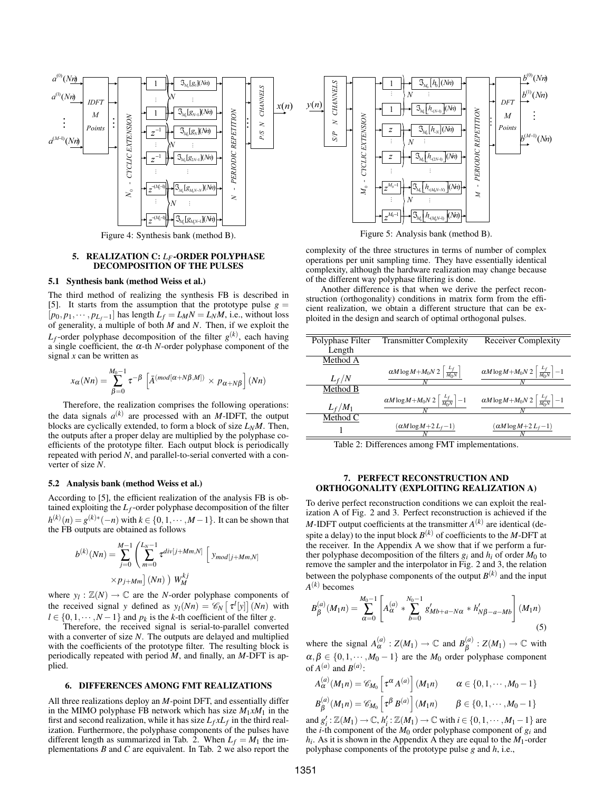

Figure 4: Synthesis bank (method B).

# 5. REALIZATION C: *LF* -ORDER POLYPHASE DECOMPOSITION OF THE PULSES

### 5.1 Synthesis bank (method Weiss et al.)

The third method of realizing the synthesis FB is described in [5]. It starts from the assumption that the prototype pulse  $g =$  $[p_0, p_1, \dots, p_{L_f-1}]$  has length  $\overline{L}_f = L_M N = L_N M$ , i.e., without loss of generality, a multiple of both *M* and *N*. Then, if we exploit the  $L_f$ -order polyphase decomposition of the filter  $g^{(k)}$ , each having a single coefficient, the  $\alpha$ -th *N*-order polyphase component of the signal *x* can be written as

$$
x_{\alpha}(Nn) = \sum_{\beta=0}^{M_0-1} \tau^{-\beta} \left[ \bar{A}^{(mod[\alpha+N\beta,M])} \times p_{\alpha+N\beta} \right] (Nn)
$$

Therefore, the realization comprises the following operations: the data signals  $a^{(k)}$  are processed with an *M*-IDFT, the output blocks are cyclically extended, to form a block of size *LNM*. Then, the outputs after a proper delay are multiplied by the polyphase coefficients of the prototype filter. Each output block is periodically repeated with period *N*, and parallel-to-serial converted with a converter of size *N*.

### 5.2 Analysis bank (method Weiss et al.)

According to [5], the efficient realization of the analysis FB is obtained exploiting the *L<sup>f</sup>* -order polyphase decomposition of the filter *h*<sup>(*k*)</sup>(*n*) = *g*<sup>(*k*)∗</sup>(−*n*) with *k* ∈ {0, 1, ··· , *M* − 1}. It can be shown that the FB outputs are obtained as follows

$$
b^{(k)}(Nn) = \sum_{j=0}^{M-1} \left( \sum_{m=0}^{L_N-1} \tau^{div[j+Mm,N]} \left[ y_{mod[j+Mm,N]} \right. \right. \\ \times p_{j+Mm} \left[ (Nn) \right] W_M^{kj}
$$

where  $y_l : \mathbb{Z}(N) \to \mathbb{C}$  are the *N*-order polyphase components of the received signal *y* defined as  $y_l(Nn) = \mathcal{C}_N \left[ \tau^l[y] \right] (Nn)$  with  $l \in \{0, 1, \dots, N-1\}$  and  $p_k$  is the *k*-th coefficient of the filter *g*.

Therefore, the received signal is serial-to-parallel converted with a converter of size *N*. The outputs are delayed and multiplied with the coefficients of the prototype filter. The resulting block is periodically repeated with period *M*, and finally, an *M*-DFT is applied.

#### 6. DIFFERENCES AMONG FMT REALIZATIONS

All three realizations deploy an *M*-point DFT, and essentially differ in the MIMO polyphase FB network which has size  $M_1 x M_1$  in the first and second realization, while it has size  $L_f x L_f$  in the third realization. Furthermore, the polyphase components of the pulses have different length as summarized in Tab. 2. When  $L_f = M_1$  the implementations *B* and *C* are equivalent. In Tab. 2 we also report the



Figure 5: Analysis bank (method B).

complexity of the three structures in terms of number of complex operations per unit sampling time. They have essentially identical complexity, although the hardware realization may change because of the different way polyphase filtering is done.

Another difference is that when we derive the perfect reconstruction (orthogonality) conditions in matrix form from the efficient realization, we obtain a different structure that can be exploited in the design and search of optimal orthogonal pulses.

| Polyphase Filter | <b>Transmitter Complexity</b>                                    | Receiver Complexity                                              |
|------------------|------------------------------------------------------------------|------------------------------------------------------------------|
| Length           |                                                                  |                                                                  |
| Method A         |                                                                  |                                                                  |
|                  | $\alpha M \log M + M_0 N 2 \left[ \frac{L_f}{M_0 N} \right]$     | $\alpha M \log M + M_0 N 2 \left[ \frac{L_f}{M_0 N} \right] - 1$ |
| $L_f/N$          |                                                                  |                                                                  |
| Method B         |                                                                  |                                                                  |
|                  | $\alpha M \log M + M_0 N 2 \left[ \frac{L_f}{M_0 N} \right] - 1$ | $\alpha M \log M + M_0 N 2 \left[ \frac{L_f}{M_0 N} \right] - 1$ |
| $L_f/M_1$        |                                                                  |                                                                  |
| Method C         |                                                                  |                                                                  |
|                  | $(\alpha M \log M + 2L_f - 1)$                                   | $(\alpha M \log M + 2L_f - 1)$                                   |
|                  |                                                                  |                                                                  |

Table 2: Differences among FMT implementations.

### 7. PERFECT RECONSTRUCTION AND ORTHOGONALITY (EXPLOITING REALIZATION A)

To derive perfect reconstruction conditions we can exploit the realization A of Fig. 2 and 3. Perfect reconstruction is achieved if the *M*-IDFT output coefficients at the transmitter  $A^{(k)}$  are identical (despite a delay) to the input block  $B^{(k)}$  of coefficients to the *M*-DFT at the receiver. In the Appendix A we show that if we perform a further polyphase decomposition of the filters  $g_i$  and  $h_i$  of order  $M_0$  to remove the sampler and the interpolator in Fig. 2 and 3, the relation between the polyphase components of the output  $B^{(k)}$  and the input *A* (*k*) becomes

$$
B_{\beta}^{(a)}(M_{1}n) = \sum_{\alpha=0}^{M_{0}-1} \left[ A_{\alpha}^{(a)} * \sum_{b=0}^{N_{0}-1} g'_{Mb+a-N\alpha} * h'_{N\beta-a-Mb} \right] (M_{1}n)
$$
\n(5)

where the signal  $A_{\alpha}^{(a)}$  :  $Z(M_1) \rightarrow \mathbb{C}$  and  $B_{\beta}^{(a)}$  $\stackrel{(a)}{\beta}: Z(M_1) \rightarrow \mathbb{C}$  with  $\alpha, \beta \in \{0, 1, \dots, M_0 - 1\}$  are the  $M_0$  order polyphase component of  $A^{(a)}$  and  $B^{(a)}$ :

$$
A_{\alpha}^{(a)}(M_1 n) = \mathcal{C}_{M_0} \left[ \tau^{\alpha} A^{(a)} \right] (M_1 n) \qquad \alpha \in \{0, 1, \cdots, M_0 - 1\}
$$
  

$$
B_{\beta}^{(a)}(M_1 n) = \mathcal{C}_{M_0} \left[ \tau^{\beta} B^{(a)} \right] (M_1 n) \qquad \beta \in \{0, 1, \cdots, M_0 - 1\}
$$

and  $g'_i$ :  $\mathbb{Z}(M_1) \to \mathbb{C}$ ,  $h'_i$ :  $\mathbb{Z}(M_1) \to \mathbb{C}$  with  $i \in \{0, 1, \cdots, M_1 - 1\}$  are the *i*-th component of the  $M_0$  order polyphase component of  $g_i$  and  $h_i$ . As it is shown in the Appendix A they are equal to the  $M_1$ -order polyphase components of the prototype pulse *g* and *h*, i.e.,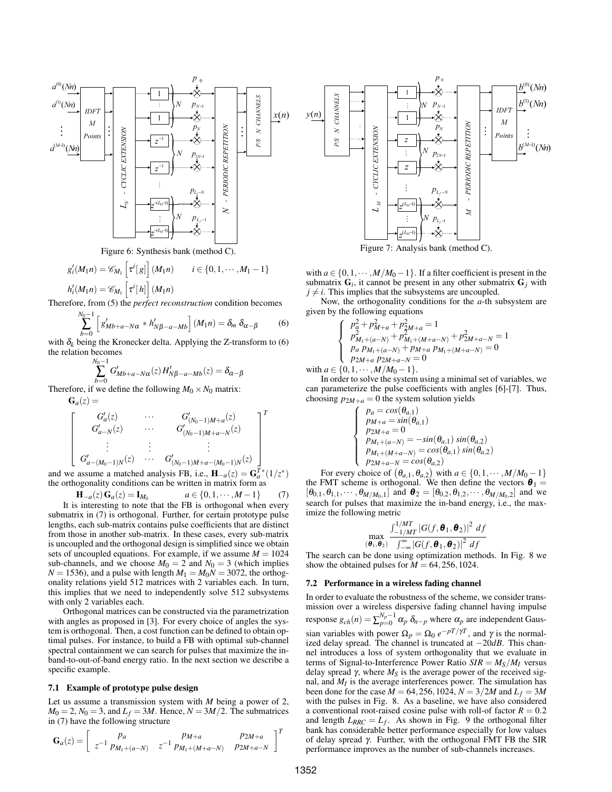

Figure 6: Synthesis bank (method C).

$$
g'_{i}(M_{1}n) = \mathcal{C}_{M_{1}}\left[\tau^{i}[g]\right](M_{1}n) \qquad i \in \{0, 1, \cdots, M_{1} - 1\}
$$

$$
h'_{i}(M_{1}n) = \mathcal{C}_{M_{1}}\left[\tau^{i}[h]\right](M_{1}n)
$$

Therefore, from (5) the *perfect reconstruction* condition becomes

$$
\sum_{b=0}^{N_0-1} \left[ g'_{Mb+a-N\alpha} * h'_{N\beta-a-Mb} \right] (M_1 n) = \delta_m \, \delta_{\alpha-\beta} \tag{6}
$$

with  $\delta_k$  being the Kronecker delta. Applying the Z-transform to (6) the relation becomes

$$
\sum_{b=0}^{N_0-1} G'_{Mb+a-N\alpha}(z) H'_{N\beta-a-Mb}(z) = \delta_{\alpha-\beta}
$$

Therefore, if we define the following  $M_0 \times N_0$  matrix:

$$
\begin{bmatrix}\nG_a(z) = & & & G'_{(N_0-1)M+a}(z) \\
G'_{a-N}(z) & \cdots & G'_{(N_0-1)M+a-N}(z) \\
\vdots & \vdots & \ddots & \vdots \\
G'_{a-(M_0-1)N}(z) & \cdots & G'_{(N_0-1)M+a-(M_0-1)N}(z)\n\end{bmatrix}^T
$$

and we assume a matched analysis FB, i.e.,  $\mathbf{H}_{-a}(z) = \mathbf{G}_a^{T*}(1/z^*)$ the orthogonality conditions can be written in matrix form as

 $H_{-a}(z)G_{a}(z) = I_{M_0}$  $a \in \{0, 1, \cdots, M-1\}$  (7) It is interesting to note that the FB is orthogonal when every submatrix in (7) is orthogonal. Further, for certain prototype pulse lengths, each sub-matrix contains pulse coefficients that are distinct from those in another sub-matrix. In these cases, every sub-matrix is uncoupled and the orthogonal design is simplified since we obtain sets of uncoupled equations. For example, if we assume  $M = 1024$ sub-channels, and we choose  $M_0 = 2$  and  $N_0 = 3$  (which implies  $N = 1536$ , and a pulse with length  $M_1 = M_0N = 3072$ , the orthogonality relations yield 512 matrices with 2 variables each. In turn, this implies that we need to independently solve 512 subsystems with only 2 variables each.

Orthogonal matrices can be constructed via the parametrization with angles as proposed in [3]. For every choice of angles the system is orthogonal. Then, a cost function can be defined to obtain optimal pulses. For instance, to build a FB with optimal sub-channel spectral containment we can search for pulses that maximize the inband-to-out-of-band energy ratio. In the next section we describe a specific example.

#### 7.1 Example of prototype pulse design

Let us assume a transmission system with *M* being a power of 2,  $M_0 = 2$ ,  $N_0 = 3$ , and  $L_f = 3M$ . Hence,  $N = 3M/2$ . The submatrices in (7) have the following structure

$$
\mathbf{G}_{a}(z) = \begin{bmatrix} pa & PM+a & P2M+a \\ z^{-1} \cdot PM_{1} + (a-N) & z^{-1} \cdot PM_{1} + (M+a-N) & P2M+a-N \end{bmatrix}^{T}
$$



Figure 7: Analysis bank (method C).

with  $a \in \{0, 1, \dots, M/M_0 - 1\}$ . If a filter coefficient is present in the submatrix  $G_i$ , it cannot be present in any other submatrix  $G_j$  with  $j \neq i$ . This implies that the subsystems are uncoupled.

Now, the orthogonality conditions for the *a*-th subsystem are given by the following equations

$$
\begin{cases}\np_{\alpha}^{2} + p_{M+a}^{2} + p_{2M+a}^{2} = 1 \\
p_{M_{1}+(a-N)}^{2} + p_{M_{1}+(M+a-N)}^{2} + p_{2M+a-N}^{2} = 1 \\
p_{a} p_{M_{1}+(a-N)} + p_{M+a} p_{M_{1}+(M+a-N)} = 0 \\
p_{2M+a} p_{2M+a-N} = 0 \\
p_{1} \quad M_{M-a} \quad 1\n\end{cases}
$$

with  $a \in \{0, 1, \cdots, M/M_0 - 1\}.$ 

In order to solve the system using a minimal set of variables, we can parameterize the pulse coefficients with angles [6]-[7]. Thus, choosing  $p_{2M+a} = 0$  the system solution yields

$$
\begin{cases}\n p_a = cos(\theta_{a,1}) \\
 p_{M+a} = sin(\theta_{a,1}) \\
 p_{2M+a} = 0 \\
 p_{M_1 + (a-N)} = -sin(\theta_{a,1}) sin(\theta_{a,2}) \\
 p_{M_1 + (M+a-N)} = cos(\theta_{a,1}) sin(\theta_{a,2}) \\
 p_{2M+a-N} = cos(\theta_{a,2})\n\end{cases}
$$

For every choice of  $(\theta_{a,1}, \theta_{a,2})$  with  $a \in \{0, 1, \dots, M/M_0 - 1\}$ the FMT scheme is orthogonal. We then define the vectors  $\boldsymbol{\theta}_1 =$  $[\theta_{0,1}, \theta_{1,1}, \cdots, \theta_{M/M_0,1}]$  and  $\theta_2 = [\theta_{0,2}, \theta_{1,2}, \cdots, \theta_{M/M_0,2}]$  and we search for pulses that maximize the in-band energy, i.e., the maximize the following metric

$$
\max_{(\boldsymbol{\theta}_1,\boldsymbol{\theta}_2)} \frac{\int_{-1/MT}^{1/MT} |G(f,\boldsymbol{\theta}_1,\boldsymbol{\theta}_2)|^2 \ df}{\int_{-\infty}^{\infty} |G(f,\boldsymbol{\theta}_1,\boldsymbol{\theta}_2)|^2 \ df}
$$

The search can be done using optimization methods. In Fig. 8 we show the obtained pulses for  $M = 64,256,1024$ .

### 7.2 Performance in a wireless fading channel

In order to evaluate the robustness of the scheme, we consider transmission over a wireless dispersive fading channel having impulse response  $g_{ch}(n) = \sum_{p=0}^{N_p-1} \alpha_p \delta_{n-p}$  where  $\alpha_p$  are independent Gaussian variables with power  $\Omega_p = \Omega_0 e^{-pT/\gamma T}$ , and  $\gamma$  is the normalized delay spread. The channel is truncated at −20*dB*. This channel introduces a loss of system orthogonality that we evaluate in terms of Signal-to-Interference Power Ratio  $SIR = M<sub>S</sub>/M<sub>I</sub>$  versus delay spread  $\gamma$ , where  $M<sub>S</sub>$  is the average power of the received signal, and  $M_I$  is the average interferences power. The simulation has been done for the case  $\dot{M} = 64,256,102\overline{4}$ ,  $N = 3/2M$  and  $L_f = 3M$ with the pulses in Fig. 8. As a baseline, we have also considered a conventional root-raised cosine pulse with roll-of factor  $R = 0.2$ and length  $L_{RRC} = L_f$ . As shown in Fig. 9 the orthogonal filter bank has considerable better performance especially for low values of delay spread γ. Further, with the orthogonal FMT FB the SIR performance improves as the number of sub-channels increases.